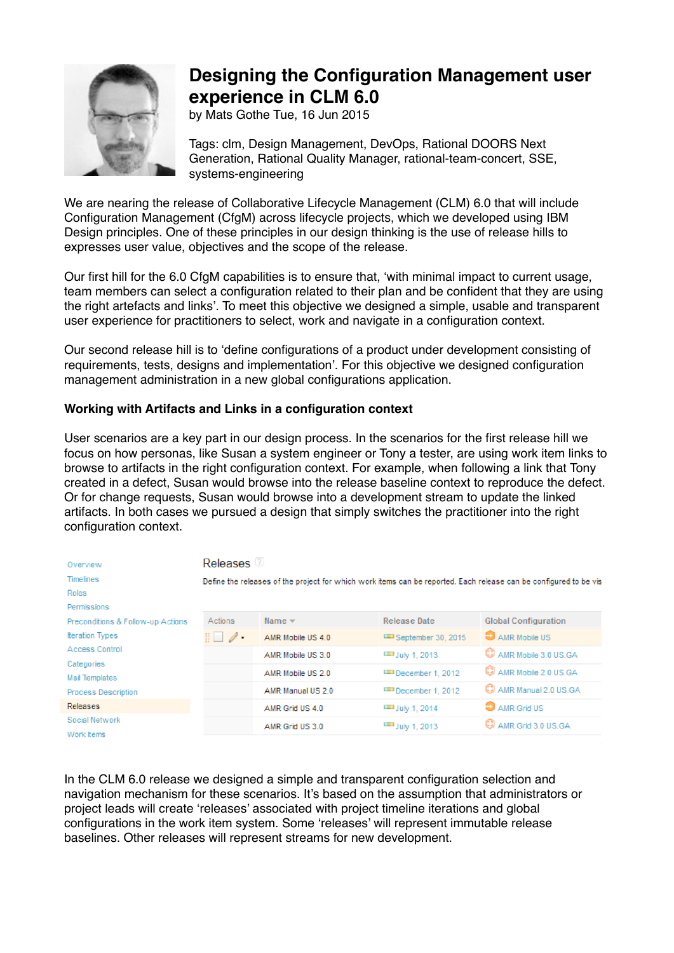

## **Designing the Configuration Management user experience in CLM 6.0**

by Mats Gothe Tue, 16 Jun 2015

Tags: clm, Design Management, DevOps, Rational DOORS Next Generation, Rational Quality Manager, rational-team-concert, SSE, systems-engineering

We are nearing the release of Collaborative Lifecycle Management (CLM) 6.0 that will include Configuration Management (CfgM) across lifecycle projects, which we developed using IBM Design principles. One of these principles in our design thinking is the use of release hills to expresses user value, objectives and the scope of the release.

Our first hill for the 6.0 CfgM capabilities is to ensure that, 'with minimal impact to current usage, team members can select a configuration related to their plan and be confident that they are using the right artefacts and links'. To meet this objective we designed a simple, usable and transparent user experience for practitioners to select, work and navigate in a configuration context.

Our second release hill is to 'define configurations of a product under development consisting of requirements, tests, designs and implementation'. For this objective we designed configuration management administration in a new global configurations application.

## **Working with Artifacts and Links in a configuration context**

User scenarios are a key part in our design process. In the scenarios for the first release hill we focus on how personas, like Susan a system engineer or Tony a tester, are using work item links to browse to artifacts in the right configuration context. For example, when following a link that Tony created in a defect, Susan would browse into the release baseline context to reproduce the defect. Or for change requests, Susan would browse into a development stream to update the linked artifacts. In both cases we pursued a design that simply switches the practitioner into the right configuration context.

| Overview                          | Releases <sup>12</sup>       |                   |                        |                                                                                                                   |
|-----------------------------------|------------------------------|-------------------|------------------------|-------------------------------------------------------------------------------------------------------------------|
| <b>Timelines</b>                  |                              |                   |                        | Define the releases of the project for which work items can be reported. Each release can be configured to be vis |
| Roles                             |                              |                   |                        |                                                                                                                   |
| Permissions                       |                              |                   |                        |                                                                                                                   |
| Preconditions & Follow-up Actions | Actions                      | Name $\equiv$     | <b>Release Date</b>    | <b>Global Configuration</b>                                                                                       |
| <b>Iteration Types</b>            | $\mathbb{E} \cup \mathbb{Z}$ | AMR Mobile US 4.0 | September 30, 2015     | AMR Mobile US                                                                                                     |
| Access Control                    |                              | AMR Mobile US 3.0 | July 1, 2013           | AMR Mobile 3.0 US.GA                                                                                              |
| Categories<br>Mail Templates      |                              | AMR Mobile US 2.0 | December 1, 2012       | AMR Mobile 2.0 US.GA                                                                                              |
| <b>Process Description</b>        |                              | AMR Manual US 2.0 | December 1, 2012       | <b>CJ</b> AMR Manual 2.0 US.GA                                                                                    |
| Releases                          |                              | AMR Grid US 4.0   | <b>ED</b> July 1, 2014 | <b>ED</b> AMR Grid US                                                                                             |
| Social Network                    |                              | AMR Grid US 3.0   | July 1, 2013           | AMR Grid 3.0 US.GA                                                                                                |
| Work Items                        |                              |                   |                        |                                                                                                                   |

In the CLM 6.0 release we designed a simple and transparent configuration selection and navigation mechanism for these scenarios. It's based on the assumption that administrators or project leads will create 'releases' associated with project timeline iterations and global configurations in the work item system. Some 'releases' will represent immutable release baselines. Other releases will represent streams for new development.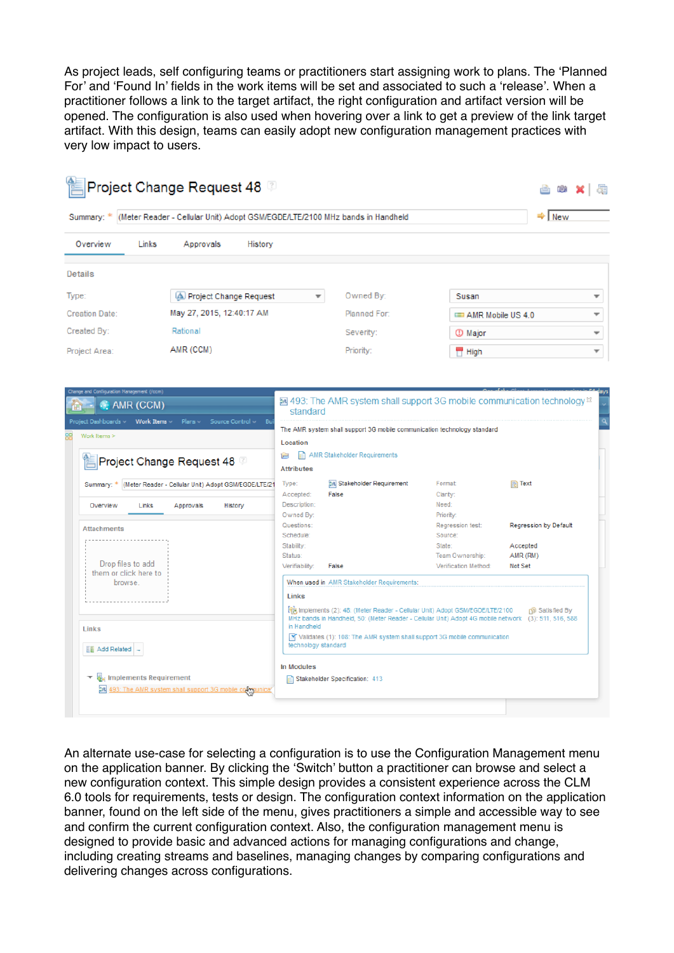As project leads, self configuring teams or practitioners start assigning work to plans. The 'Planned For' and 'Found In' fields in the work items will be set and associated to such a 'release'. When a practitioner follows a link to the target artifact, the right configuration and artifact version will be opened. The configuration is also used when hovering over a link to get a preview of the link target artifact. With this design, teams can easily adopt new configuration management practices with very low impact to users.

| Summary: *                     |                       |                           |                                                                            |                                                               | (Meter Reader - Cellular Unit) Adopt GSM/EGDE/LTE/2100 MHz bands in Handheld                                                                                                                                                                                          |                                                               | <b>New</b>                                 |
|--------------------------------|-----------------------|---------------------------|----------------------------------------------------------------------------|---------------------------------------------------------------|-----------------------------------------------------------------------------------------------------------------------------------------------------------------------------------------------------------------------------------------------------------------------|---------------------------------------------------------------|--------------------------------------------|
| Overview                       | Links                 | Approvals                 | History                                                                    |                                                               |                                                                                                                                                                                                                                                                       |                                                               |                                            |
| <b>Details</b>                 |                       |                           |                                                                            |                                                               |                                                                                                                                                                                                                                                                       |                                                               |                                            |
| Type:                          |                       |                           | (A) Project Change Request                                                 | $\overline{\phantom{a}}$                                      | Owned By:                                                                                                                                                                                                                                                             | Susan                                                         |                                            |
| <b>Creation Date:</b>          |                       | May 27, 2015, 12:40:17 AM |                                                                            |                                                               | Planned For:                                                                                                                                                                                                                                                          | AMR Mobile US 4.0                                             |                                            |
| Created By:                    |                       | Rational                  |                                                                            |                                                               | Severity:                                                                                                                                                                                                                                                             | ① Major                                                       |                                            |
| Project Area:                  |                       | AMR (CCM)                 |                                                                            |                                                               | Priority:                                                                                                                                                                                                                                                             | <b>High</b>                                                   |                                            |
| Work Items >                   |                       | Project Change Request 48 |                                                                            | Location<br>Ē<br><b>Attributes</b>                            | The AMR system shall support 3G mobile communication technology standard<br>AMR Stakeholder Requirements                                                                                                                                                              |                                                               |                                            |
| Overview                       | Links                 | Approvals                 | Summary: * (Meter Reader - Cellular Unit) Adopt GSM/EGDE/LTE/21<br>History | Type:<br>Accepted:<br>Description:<br>Owned By:<br>Questions: | Stakeholder Requirement<br>False                                                                                                                                                                                                                                      | Format:<br>Clarity:<br>Need:<br>Priority:<br>Regression test: | $\mathbb{R}$ Text<br>Regression by Default |
| <b>Attachments</b>             |                       |                           |                                                                            | Schedule:<br>Stability:                                       |                                                                                                                                                                                                                                                                       | Source:<br>State:                                             | Accepted                                   |
|                                | Drop files to add     |                           |                                                                            | Status:                                                       |                                                                                                                                                                                                                                                                       | Team Ownership:                                               | AMR (RM)                                   |
| browse.                        | them or click here to |                           |                                                                            | Verifiability:                                                | False<br>When used in AMR Stakeholder Requirements:                                                                                                                                                                                                                   | Verification Method:                                          | Not Set                                    |
|                                |                       |                           |                                                                            | Links                                                         |                                                                                                                                                                                                                                                                       |                                                               |                                            |
| Links<br><b>EE</b> Add Related |                       |                           |                                                                            | in Handheld<br>technology standard                            | Fig. Implements (2): 48: (Meter Reader - Cellular Unit) Adopt GSM/EGDE/LTE/2100<br>MHz bands in Handheld, 50: (Meter Reader - Cellular Unit) Adopt 4G mobile network (3): 511, 516, 588<br>Y Validates (1): 108: The AMR system shall support 3G mobile communication |                                                               | ெ Satisfied By                             |

An alternate use-case for selecting a configuration is to use the Configuration Management menu on the application banner. By clicking the 'Switch' button a practitioner can browse and select a new configuration context. This simple design provides a consistent experience across the CLM 6.0 tools for requirements, tests or design. The configuration context information on the application banner, found on the left side of the menu, gives practitioners a simple and accessible way to see and confirm the current configuration context. Also, the configuration management menu is designed to provide basic and advanced actions for managing configurations and change, including creating streams and baselines, managing changes by comparing configurations and delivering changes across configurations.